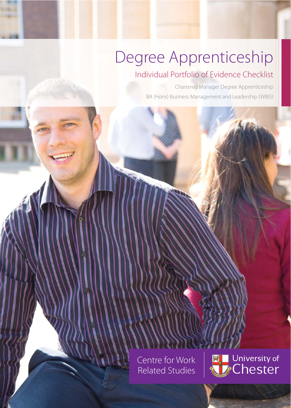# Degree Apprenticeship

## Individual Portfolio of Evidence Checklist

Chartered Manager Degree Apprenticeship BA (Hons) Business Management and Leadership (WBIS)

Centre for Work Related Studies

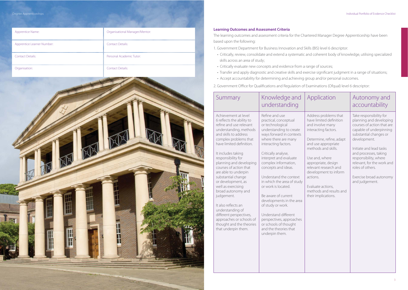| Apprentice Name:           | <b>Organisational Manager/Mentor:</b> |
|----------------------------|---------------------------------------|
| Apprentice Learner Number: | <b>Contact Details:</b>               |
| <b>Contact Details:</b>    | Personal Academic Tutor:              |
| Organisation:              | <b>Contact Details:</b>               |



### **Learning Outcomes and Assessment Criteria**

The learning outcomes and assessment criteria for the Chartered Manager Degree Apprenticeship have been based upon the following:

1. Government Department for Business Innovation and Skills (BIS) level 6 descriptor:

- Critically, review, consolidate and extend a systematic and coherent body of knowledge, utilising specialized skills across an area of study;
- Critically evaluate new concepts and evidence from a range of sources;
- 
- Transfer and apply diagnostic and creative skills and exercise significant judgment in a range of situations; • Accept accountability for determining and achieving group and/or personal outcomes.

2. Government Office for Qualifications and Regulation of Examinations (Ofqual) level 6 descriptor:

| Summary                                                                                                                                                                                                                                                                                                                                                                                                                                                                                                                                                                  | Knowledge and<br>understanding                                                                                                                                                                                                                                                                                                                                                                                                                                                                                                                    | Application                                                                                                                                                                                                                                                                                                                                          | Autonomy and<br>accountability                                                                                                                                                                                                                                                                                                    |
|--------------------------------------------------------------------------------------------------------------------------------------------------------------------------------------------------------------------------------------------------------------------------------------------------------------------------------------------------------------------------------------------------------------------------------------------------------------------------------------------------------------------------------------------------------------------------|---------------------------------------------------------------------------------------------------------------------------------------------------------------------------------------------------------------------------------------------------------------------------------------------------------------------------------------------------------------------------------------------------------------------------------------------------------------------------------------------------------------------------------------------------|------------------------------------------------------------------------------------------------------------------------------------------------------------------------------------------------------------------------------------------------------------------------------------------------------------------------------------------------------|-----------------------------------------------------------------------------------------------------------------------------------------------------------------------------------------------------------------------------------------------------------------------------------------------------------------------------------|
| Achievement at level<br>6 reflects the ability to<br>refine and use relevant<br>understanding, methods<br>and skills to address<br>complex problems that<br>have limited definition.<br>It includes taking<br>responsibility for<br>planning and developing<br>courses of action that<br>are able to underpin<br>substantial change<br>or development, as<br>well as exercising<br>broad autonomy and<br>judgement.<br>It also reflects an<br>understanding of<br>different perspectives,<br>approaches or schools of<br>thought and the theories<br>that underpin them. | Refine and use<br>practical, conceptual<br>or technological<br>understanding to create<br>ways forward in contexts<br>where there are many<br>interacting factors.<br>Critically analyse,<br>interpret and evaluate<br>complex information,<br>concepts and ideas.<br>Understand the context<br>in which the area of study<br>or work is located.<br>Be aware of current<br>developments in the area<br>of study or work.<br>Understand different<br>perspectives, approaches<br>or schools of thought<br>and the theories that<br>underpin them. | Address problems that<br>have limited definition<br>and involve many<br>interacting factors.<br>Determine, refine, adapt<br>and use appropriate<br>methods and skills.<br>Use and, where<br>appropriate, design<br>relevant research and<br>development to inform<br>actions.<br>Evaluate actions,<br>methods and results and<br>their implications. | Take responsibility for<br>planning and developing<br>courses of action that are<br>capable of underpinning<br>substantial changes or<br>development.<br>Initiate and lead tasks<br>and processes, taking<br>responsibility, where<br>relevant, for the work and<br>roles of others.<br>Exercise broad autonomy<br>and judgement. |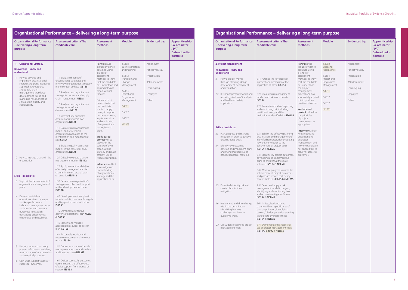|                                                                                                                                                                                                                                                                                                           | Organisational Performance - delivering a long-term purpose                                                                                                                                                                                                                                                                                                                                                                                                                                                                                                                                                                                                   |                                                                                                                                                                                                                                                                                                                                                                                                                                                                                                             |                                                                                                                                                                                                |                                                                                        |                                                                              |
|-----------------------------------------------------------------------------------------------------------------------------------------------------------------------------------------------------------------------------------------------------------------------------------------------------------|---------------------------------------------------------------------------------------------------------------------------------------------------------------------------------------------------------------------------------------------------------------------------------------------------------------------------------------------------------------------------------------------------------------------------------------------------------------------------------------------------------------------------------------------------------------------------------------------------------------------------------------------------------------|-------------------------------------------------------------------------------------------------------------------------------------------------------------------------------------------------------------------------------------------------------------------------------------------------------------------------------------------------------------------------------------------------------------------------------------------------------------------------------------------------------------|------------------------------------------------------------------------------------------------------------------------------------------------------------------------------------------------|----------------------------------------------------------------------------------------|------------------------------------------------------------------------------|
| <b>Organisational Performance</b><br>- delivering a long-term<br>purpose                                                                                                                                                                                                                                  | <b>Assessment criteria The</b><br>candidate can:                                                                                                                                                                                                                                                                                                                                                                                                                                                                                                                                                                                                              | <b>Assessment</b><br>methods                                                                                                                                                                                                                                                                                                                                                                                                                                                                                | <b>Module</b>                                                                                                                                                                                  | <b>Evidenced by:</b>                                                                   | Apprenticeship<br><b>Co-ordinator</b><br>/ PAT<br>Date added to<br>portfolio |
| <b>Operational Strategy</b><br>1.                                                                                                                                                                                                                                                                         |                                                                                                                                                                                                                                                                                                                                                                                                                                                                                                                                                                                                                                                               | Portfolio will                                                                                                                                                                                                                                                                                                                                                                                                                                                                                              | IS5158                                                                                                                                                                                         | Assignment                                                                             |                                                                              |
| Knowledge – know and<br>understand:<br>1.1 How to develop and<br>implement organisational<br>strategy and plans, including<br>approaches to resource<br>and supply chain<br>management, workforce<br>development, taking and<br>managing risk, monitoring<br>/ evaluation, quality and<br>sustainability. | 1.1.1 Evaluate theories of<br>organisational strategies and<br>review own organisation's strategy<br>in the context of these <b>IS5158</b><br>1.1.2 Analyse own organisation's<br>strategy for resource and supply<br>chain management NELM<br>1.1.3 Analyse own organisation's<br>strategy for workforce<br>development NELM<br>1.1.4 Interpret key principles<br>of sustainability within own<br>organisation NELM<br>1.1.5 Evaluate risk management<br>models and review own<br>organisation's approach to the<br>identification and monitoring of<br>risk IS6154<br>1.1.6 Evaluate quality assurance<br>models in the context of own<br>organisation NELM | include evidence<br>obtained using<br>a range of<br>assessment<br>methods to show<br>that the candidate<br>has understood and<br>applied relevant<br>organisational<br>theories.<br>Evidence must<br>demonstrate that<br>the candidate<br>is able to apply<br>theory to support<br>the development,<br>implementation<br>and monitoring<br>of organisational<br>strategies and<br>plans.<br><b>Work-based</b><br>project will be<br>set within the<br>context of own<br>organisation's<br>strategy and make | <b>Business Strategy</b><br>and Planning<br>IS5112<br>Transition and<br>Change<br>Management<br>IS6154<br>Project and<br>Programme<br>Management<br>IS4011<br>IS5017<br>IS6017<br><b>NELMS</b> | Reflective Essay<br>Presentation<br>360 documents<br>Learning log<br>Employer<br>Other |                                                                              |
| 1.2 How to manage change in the<br>organisation.                                                                                                                                                                                                                                                          | 1.2.1 Critically evaluate change<br>management models IS5112<br>1.2.2 Apply relevant model(s) to<br>effectively manage substantial<br>change in a select area of own                                                                                                                                                                                                                                                                                                                                                                                                                                                                                          | efficient use of<br>resources available.<br><b>Interview will test</b><br>knowledge and<br>understanding                                                                                                                                                                                                                                                                                                                                                                                                    |                                                                                                                                                                                                |                                                                                        |                                                                              |
| Skills - be able to:                                                                                                                                                                                                                                                                                      | organisation IS5112                                                                                                                                                                                                                                                                                                                                                                                                                                                                                                                                                                                                                                           | of organisational<br>strategy and the                                                                                                                                                                                                                                                                                                                                                                                                                                                                       |                                                                                                                                                                                                |                                                                                        |                                                                              |
| 1.3 Support the development of<br>organisational strategies and<br>plans.<br>1.4 Develop and deliver                                                                                                                                                                                                      | 1.3.1 Review own organisation's<br>strategies and plans and support<br>further development of these<br><b>IS5158</b><br>1.4.1 Develop operational plan to                                                                                                                                                                                                                                                                                                                                                                                                                                                                                                     | application of this.                                                                                                                                                                                                                                                                                                                                                                                                                                                                                        |                                                                                                                                                                                                |                                                                                        |                                                                              |
| operational plans; set targets<br>and key performance<br>indicators, manage resources,<br>and monitor and measure<br>outcomes to establish<br>operational effectiveness,<br>efficiencies and excellence.                                                                                                  | include realistic, measurable targets<br>and key performance indicators<br>IS5158<br>1.4.2 Demonstrate effective<br>delivery of operational plan NELM<br>& IS5158                                                                                                                                                                                                                                                                                                                                                                                                                                                                                             |                                                                                                                                                                                                                                                                                                                                                                                                                                                                                                             |                                                                                                                                                                                                |                                                                                        |                                                                              |
|                                                                                                                                                                                                                                                                                                           | 1.4.3 Identify and manage<br>appropriate resources to deliver<br>plan <b>IS5158</b><br>1.4.4 Accurately monitor and                                                                                                                                                                                                                                                                                                                                                                                                                                                                                                                                           |                                                                                                                                                                                                                                                                                                                                                                                                                                                                                                             |                                                                                                                                                                                                |                                                                                        |                                                                              |
|                                                                                                                                                                                                                                                                                                           | measure outcomes and evaluate<br>results IS5158                                                                                                                                                                                                                                                                                                                                                                                                                                                                                                                                                                                                               |                                                                                                                                                                                                                                                                                                                                                                                                                                                                                                             |                                                                                                                                                                                                |                                                                                        |                                                                              |
| 1.5 Produce reports that clearly<br>present information and data,<br>using a range of interpretation<br>and analytical processes.                                                                                                                                                                         | 1.5.1 Construct a range of detailed<br>management reports and analyse<br>and interpret these NELMS                                                                                                                                                                                                                                                                                                                                                                                                                                                                                                                                                            |                                                                                                                                                                                                                                                                                                                                                                                                                                                                                                             |                                                                                                                                                                                                |                                                                                        |                                                                              |
| 1.6 Gain wide support to deliver<br>successful outcomes.                                                                                                                                                                                                                                                  | 1.6.1 Deliver successful outcomes<br>demonstrating the effective use<br>of wide support from a range of<br>sources IS5158                                                                                                                                                                                                                                                                                                                                                                                                                                                                                                                                     |                                                                                                                                                                                                                                                                                                                                                                                                                                                                                                             |                                                                                                                                                                                                |                                                                                        |                                                                              |

#### **Organisational Performance – delivering a long-term purpose Assessment criteria The candidate can:** Asses meth **2. Project Management Knowledge – know and understand:** 2.1 How a project moves through planning, design, development, deployment and evaluation. 2.2 Risk management models and reporting, risk benefit analysis and health and safety implications. **Skills – be able to:** 2.3 Plan, organise and manage resources in order to achieve organisational goals. 2.4 Identify key outcomes, develop and implement plans and monitor progress, and provide reports as required. 2.5 Proactively identify risk and create plans for their mitigation. 2.6 Initiate, lead and drive change within the organisation, identifying barriers/ challenges and how to overcome them. 2.7 Use widely recognised project management tools 2.1.1 Analyse the key stages of a project and demonstrate the application of these **IS6154** 2.2.1 Evaluate risk management models and risk versus benefit **IS6154** 2.2.2 Present methods of reporting and monitoring risk, including health and safety, and the mitigation of identified risks **IS6154** 2.3.1 Exhibit the effective planning, organisation, and management of identified resources, demonstrating how this contributes to the achievement of project goals **IS6154** & **NELMS** 2.4.1 Identify key project outcomes, developing and implementing plans to ensure that these are achieved **IS6154** & **NELMS** 2.4.2 Monitor progress towards the achievement of project outcomes and produce reports that clearly demonstrate this **IS6154** & **NELMS** 2.5.1 Select and apply a risk management model to project, identifying and monitoring risks and actions to mitigate of these **IS6154** & **NELMS** 2.6.1 Initiate, lead and drive change within a specific area of own organisation, identifying barriers/ challenges and presenting strategies to overcome these **IS6154** & **NELMS** 2.7.1 Demonstrate the successful use of project management tools **IS6154, IS4002** & **NELMS Portfo** includ obtain a rang assess metho that th has un the pro manag proces succes this to positiv **Work**projec the pri of proj manag approp **Interv** knowl unders of proj manag how th has ap achiev outcor **Organisational Performance - delivering a lo**

|                                                                                                                                                                                                                                                                                                                                                                                             | ong-term purpose                                                                                                                     |                                                                                                      |                                                                       |
|---------------------------------------------------------------------------------------------------------------------------------------------------------------------------------------------------------------------------------------------------------------------------------------------------------------------------------------------------------------------------------------------|--------------------------------------------------------------------------------------------------------------------------------------|------------------------------------------------------------------------------------------------------|-----------------------------------------------------------------------|
| ssment<br>າods                                                                                                                                                                                                                                                                                                                                                                              | <b>Module</b>                                                                                                                        | <b>Evidenced by:</b>                                                                                 | Apprenticeship<br>Co-ordinator<br>/ PAT<br>Date added to<br>portfolio |
| <b>olio</b> will<br>le evidence<br>ed using<br>je of<br>ment<br>ods to show<br>ne candidate<br>aderstood<br>oject<br>gement<br>ss and has<br>ssfully applied<br>produce<br>ve outcomes.<br>-based<br>ct will follow<br>inciples<br>ject<br>gement as<br>priate.<br>view will test<br>ledge and<br>standing<br>ject<br>gement and<br>he candidate<br>oplied this to<br>ve successful<br>mes. | IS4002<br>Skills and<br>Approaches<br>IS6154<br>Project and<br>Programme<br>Management<br>IS4011<br>IS5017<br>IS6017<br><b>NELMS</b> | Assignment<br>Reflective Essay<br>Presentation<br>360 documents<br>Learning log<br>Employer<br>Other |                                                                       |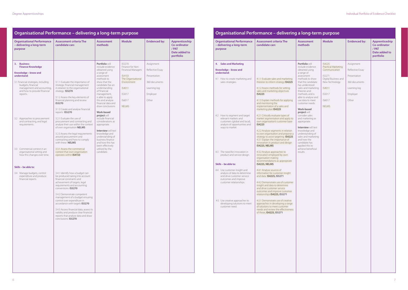|                                                                                                                                                                                                                                                                                                                                                                                                              | Organisational Performance - delivering a long-term purpose                                                                                                                                                                                                                                                                                                                                                                                                                                                                                                                                                            |                                                                                                                                                                                                                                                                                                                                                                                                                                                                                                                                       |                                                                                                                                                      |                                                                                                      |                                                                       |
|--------------------------------------------------------------------------------------------------------------------------------------------------------------------------------------------------------------------------------------------------------------------------------------------------------------------------------------------------------------------------------------------------------------|------------------------------------------------------------------------------------------------------------------------------------------------------------------------------------------------------------------------------------------------------------------------------------------------------------------------------------------------------------------------------------------------------------------------------------------------------------------------------------------------------------------------------------------------------------------------------------------------------------------------|---------------------------------------------------------------------------------------------------------------------------------------------------------------------------------------------------------------------------------------------------------------------------------------------------------------------------------------------------------------------------------------------------------------------------------------------------------------------------------------------------------------------------------------|------------------------------------------------------------------------------------------------------------------------------------------------------|------------------------------------------------------------------------------------------------------|-----------------------------------------------------------------------|
| <b>Organisational Performance</b><br>- delivering a long-term<br>purpose                                                                                                                                                                                                                                                                                                                                     | <b>Assessment criteria The</b><br>candidate can:                                                                                                                                                                                                                                                                                                                                                                                                                                                                                                                                                                       | <b>Assessment</b><br>methods                                                                                                                                                                                                                                                                                                                                                                                                                                                                                                          | <b>Module</b>                                                                                                                                        | <b>Evidenced by:</b>                                                                                 | Apprenticeship<br>Co-ordinator<br>/ PAT<br>Date added to<br>portfolio |
| <b>Business</b><br>3.<br><b>Finance Knowledge</b><br>Knowledge - know and<br>understand:<br>3.1 Financial strategies, including<br>budgets, financial<br>management and accounting,<br>and how to provide financial<br>reports.<br>3.2 Approaches to procurement<br>and contracting, and legal<br>requirements.<br>3.3 Commercial context in an<br>organisational setting and<br>how this changes over time. | 3.1.1 Evaluate the importance of<br>strategic financial management<br>in relation to the organisational<br>strategy IS5270<br>3.1.2 Assess the key elements of<br>financial planning and review<br>IS5270<br>3.1.3 Create and analyse financial<br>reports IS5270<br>3.2.1 Evaluate the use of<br>procurement and contracting and<br>analyse their use within the context<br>of own organisation NELMS<br>3.2.3 Assess the legal requirements<br>around procurement and<br>contracting and how to comply<br>with these NELMS<br>3.3.1 Assess the commercial<br>context that own organisation<br>operates within IS4153 | Portfolio will<br>include evidence<br>obtained using<br>a range of<br>assessment<br>methods to<br>show that the<br>candidate has an<br>understanding<br>of financial<br>management,<br>is able to apply<br>this and analyse<br>financial data and<br>draw conclusions.<br><b>Work-based</b><br>project will<br>include financial<br>considerations as<br>appropriate.<br><b>Interview will test</b><br>knowledge and<br>understanding of<br>business finance<br>and how this has<br>been effectively<br>utilised by the<br>candidate. | IS5270<br>Finance for Non-<br><b>Financial Managers</b><br>IS4153<br>The Organisational<br>Environment<br>IS4011<br>IS5017<br>IS6017<br><b>NELMS</b> | Assignment<br>Reflective Essay<br>Presentation<br>360 documents<br>Learning log<br>Employer<br>Other |                                                                       |
| Skills - be able to:<br>3.4 Manage budgets, control<br>expenditure and produce<br>financial reports.                                                                                                                                                                                                                                                                                                         | 3.4.1 Identify how a budget can<br>be produced taking into account<br>financial constraints and<br>achievement of targets, legal<br>requirements and accounting<br>conventions IS5270<br>3.4.2 Demonstrate competent<br>management of a budget ensuring<br>control over expenditure in<br>accordance with targets IS5270<br>3.4.3 Access financial data, assess its<br>validity and produce clear financial<br>reports that analyse data and draw<br>conclusions. IS5270                                                                                                                                               |                                                                                                                                                                                                                                                                                                                                                                                                                                                                                                                                       |                                                                                                                                                      |                                                                                                      |                                                                       |

#### **Organisational Performance – delivering a long-term purpose Assessment criteria The candidate can:** Asses meth **4. Sales and Marketing Knowledge – know and understand:** 4.1 How to create marketing and sales strategies. 4.2 How to segment and target relevant markets and customers (global and local), analysis of opportunities and ways to market. 4.3 The need for innovation in product and service design. **Skills – be able to:** 4.4 Use customer insight and analysis of data to determine and drive customer service outcomes and improve customer relationships. 4.5 Use creative approaches to developing solutions to meet customer need. 4.1.1 Evaluate sales and marketing theories to inform strategy **IS4225** 4.1.2 Assess methods for setting sales and marketing objectives **IS4225** 4.1.3 Explain methods for applying and monitoring the implementation of a sales and marketing plan **IS4225** 4.2.1 Critically evaluate types of market segmentation and apply to own organisation's customer base **IS4225** 4.2.2 Analyse segments in relation to own organisation and propose a strategy to assist targeting **IS4225**  4.3.1 Explain the importance of innovation in product and design **IS4225, NELMS** 4.3.2 Analyse approaches to innovation employed by own organisation making recommendations as appropriate **IS4225, NELMS** 4.4.1 Analyse sources of information for customer insight and data **IS4225, IS5271** 4.4.2 Demonstrate use of customer insight and data to determine and drive customer service outcomes and improve customer relationships **IS4225, IS5271** 4.5.1 Demonstrate use of creative approaches in developing a range of solutions to meet customer needs and review the effectiveness of these**. IS4225, IS5271 Portfo** includ obtain a rang assess metho that th has ur sales a theori metho able to use da custor **Work**projec consid and m appro **Interv** knowl under sales a and h candid applie achiev results. **Organisational Performance - delivering a long-**

| <b>Module</b><br><b>Evidenced by:</b><br>Apprenticeship<br><b>Co-ordinator</b><br>/ PAT<br>Date added to<br>portfolio<br>IS4225<br>Assignment<br><b>Practical Marketing</b><br>Communication<br>Reflective Essay<br>IS5271<br>Presentation<br>Digital Business and<br>New Technology<br>360 documents<br>IS4011<br>Learning log<br>IS5017<br>Employer<br>Other<br>IS6017<br><b>NELMS</b> |                | ong-term purpose |  |
|------------------------------------------------------------------------------------------------------------------------------------------------------------------------------------------------------------------------------------------------------------------------------------------------------------------------------------------------------------------------------------------|----------------|------------------|--|
| olio will<br>de evidence<br>ned using<br>ge of<br>sment<br>ods to show<br>he candidate<br>nderstood<br>and marketing<br>ies and<br>ods, and is<br>o analyse and<br>ata to meet<br>mer needs.<br>-based<br>ct will<br>der sales<br>harketing as<br>priate.<br>view will test<br>ledge and<br>rstanding of<br>and marketing<br>ow the<br>date has<br>ed this to<br>ve beneficial<br>S.     | ssment<br>າods |                  |  |
|                                                                                                                                                                                                                                                                                                                                                                                          |                |                  |  |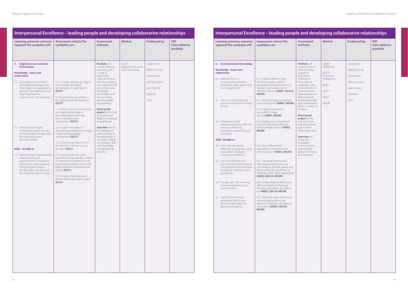| Learning outcome/outcome<br>required The candidate will:                                                                                                                                                                                                                                                                                                                             | <b>Assessment criteria The</b><br>candidate can:                                                                                                                                                                                                                                                                                                                                                                                                                                                        | <b>Assessment</b><br>methods                                                                                                                                                                                                                                                                                                                                  | <b>Module</b>                                    | <b>Evidenced by:</b>                                                                                 | <b>PAT</b><br>Date added to<br>portfolio |
|--------------------------------------------------------------------------------------------------------------------------------------------------------------------------------------------------------------------------------------------------------------------------------------------------------------------------------------------------------------------------------------|---------------------------------------------------------------------------------------------------------------------------------------------------------------------------------------------------------------------------------------------------------------------------------------------------------------------------------------------------------------------------------------------------------------------------------------------------------------------------------------------------------|---------------------------------------------------------------------------------------------------------------------------------------------------------------------------------------------------------------------------------------------------------------------------------------------------------------------------------------------------------------|--------------------------------------------------|------------------------------------------------------------------------------------------------------|------------------------------------------|
| 5. Digital business and new<br>technologies<br>Knowledge - know and<br>understand:<br>5.1 Approaches to innovation<br>and digital technologies and<br>their impact on organisations,<br>and how their application can<br>forge organisational<br>improvement / development.                                                                                                          | 5.1.1 Critically evaluate the impact<br>of innovation and digital<br>technologies on organisation's<br>IS5271<br>5.1.2 Evaluate the use of these<br>for organisational development<br>IS5271<br>5.1.3 Review the use of innovation<br>and digital technologies in<br>own organisation and make<br>recommendations for<br>improvement IS5271                                                                                                                                                             | Portfolio will<br>include evidence<br>obtained using<br>a range of<br>assessment<br>methods to show<br>that the candidate<br>has understood the<br>use of innovation<br>and digital<br>technologies and<br>the use of data<br>and knowledge<br>management.<br>Work-based<br>project will include<br>innovation and<br>digital technologies<br>as appropriate. | IS5271<br>Digital Business and<br>New Technology | Assignment<br>Reflective Essay<br>Presentation<br>360 documents<br>Learning log<br>Employer<br>Other |                                          |
| 5.2 Innovation and digital<br>technology's impact on data<br>and knowledge management<br>for analysing business<br>decision-making.<br>Skills - be able to:<br>5.3 Identify service/ organisational<br>improvements and<br>opportunities for innovation<br>and growth, using qualitative<br>and quantitative analysis<br>of information and data and<br>benchmarking against others. | 5.2.1 Analyse the impact of<br>innovation and digital technologies<br>on data and knowledge<br>management IS5271<br>5.2.2 Demonstrate how this can<br>be utilised for making business<br>decisions <b>IS5271</b><br>5.3.1 Demonstrate the use of<br>qualitative and quantitative analysis<br>of information to identify service/<br>organisational improvements and<br>opportunities for innovation and<br>growth IS5271<br>5.3.2 Analyse information and<br>data to benchmark against others<br>IS5271 | <b>Interview will test</b><br>knowledge and<br>understanding of<br>the application of<br>innovation, digital<br>technologies, data<br>and knowledge<br>management to<br>business.                                                                                                                                                                             |                                                  |                                                                                                      |                                          |

| <b>Learning outcome/ outcome</b><br>required The candidate will:                                                                                                                                                                                                                                                                                                                                                                                                                                                                                                                                                                                                                                                                                                                                                                                                                                  | <b>Assessment criteria The</b><br>candidate can:                                                                                                                                                                                                                                                                                                                                                                                                                                                                                                                                                                                                                                                                                                                                                                                                                                                                                                                                                                                                                               | <b>Assessment</b><br>methods                                                                                                                                                                                                                                                                                                                                                                                                                                                                                                                                      | <b>Module</b>                                                                                              | <b>Evidenced by:</b>                                                                                 | <b>PAT</b><br>Date added to<br>portfolio |
|---------------------------------------------------------------------------------------------------------------------------------------------------------------------------------------------------------------------------------------------------------------------------------------------------------------------------------------------------------------------------------------------------------------------------------------------------------------------------------------------------------------------------------------------------------------------------------------------------------------------------------------------------------------------------------------------------------------------------------------------------------------------------------------------------------------------------------------------------------------------------------------------------|--------------------------------------------------------------------------------------------------------------------------------------------------------------------------------------------------------------------------------------------------------------------------------------------------------------------------------------------------------------------------------------------------------------------------------------------------------------------------------------------------------------------------------------------------------------------------------------------------------------------------------------------------------------------------------------------------------------------------------------------------------------------------------------------------------------------------------------------------------------------------------------------------------------------------------------------------------------------------------------------------------------------------------------------------------------------------------|-------------------------------------------------------------------------------------------------------------------------------------------------------------------------------------------------------------------------------------------------------------------------------------------------------------------------------------------------------------------------------------------------------------------------------------------------------------------------------------------------------------------------------------------------------------------|------------------------------------------------------------------------------------------------------------|------------------------------------------------------------------------------------------------------|------------------------------------------|
| 6. Communication Knowledge<br>Knowledge - know and<br>understand:<br>6.1 Different forms of<br>communication (written,<br>verbal non-verbal, digital) and<br>how to apply them.<br>6.2 How to maintain personal<br>presence and present to large<br>groups.<br>6.3 Interpersonal skills<br>awareness including effective<br>listening, influencing<br>techniques, negotiating and<br>persuasion.<br>Skills - be able to:<br>6.4 Communicate clearly,<br>effectively and regularly using<br>oral, written and digital<br>channels and platforms.<br>6.5 Use active listening and<br>open questioning to structure<br>conversations and discussions,<br>and able to challenge when<br>appropriate.<br>6.6 Manage and chair meetings<br>and clearly present actions<br>and outcomes.<br>6.7 Apply influencing and<br>persuading skills, to the<br>dynamics and politics of<br>personal interactions. | 6.1.1 Evaluate different types<br>of communication and the<br>application of these analyse their<br>strengths and weaknesses in<br>different contexts IS4001, IS6134,<br><b>NELMS</b><br>6.2.1 Determine how to maintain<br>personal presence IS4001, NELMS<br>6.2.2 Prepare and present<br>successfully to large<br>groups IS4001, NELMS<br>6.3.1 Analyse own interpersonal<br>skills and take responsibility to<br>further develop of these IS4001,<br><b>NELMS</b><br>6.4.1 Show effective and<br>appropriate use of all forms of<br>communication IS4001, NELMS<br>6.5.1 Use active listening and<br>open questioning to structure<br>conversations and discussions and<br>demonstrate the use of these to<br>challenge others when appropriate<br>IS4001, IS6134, NELMS<br>6.6.1 Demonstrate confident and<br>effective chairing of meetings<br>including preparation and follow<br>up IS4001, IS6134, NELMS<br>6.7.1 Effectively apply influencing<br>and persuading skills to the<br>dynamics and politics of personal<br>interactions. IS4001, IS6134,<br><b>NELMS</b> | Portfolio will<br>include evidence<br>obtained using<br>a range of<br>assessment<br>methods to<br>show that the<br>candidate is able<br>to use all forms of<br>communication<br>appropriately and<br>effectively, and<br>demonstrate high<br>level interpersonal<br>skills in a variety of<br>contexts.<br><b>Work-based</b><br>project will be<br>well structured<br>and demonstrate<br>good written<br>presentation skills.<br><b>Interview will</b><br>review the<br>candidate's<br>communication<br>style and their<br>ability to influence<br>and negotiate. | IS4001<br>Self Review<br>IS6134<br>Emotional<br>Intelligence<br>IS4011<br>IS5017<br>IS6017<br><b>NELMS</b> | Assignment<br>Reflective Essay<br>Presentation<br>360 documents<br>Learning log<br>Employer<br>Other |                                          |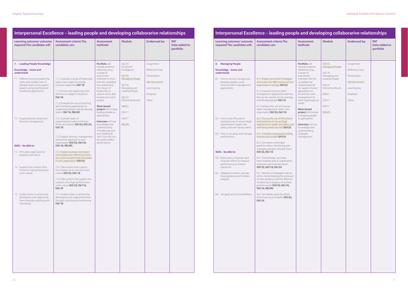| Learning outcome/outcome<br>required The candidate will:                                                                                                                                                                                                                                                                                                                                                                                                                                                                                                                                            | <b>Assessment criteria The</b><br>candidate can:                                                                                                                                                                                                                                                                                                                                                                                                                                                                                                                                                                                                                                                                                                                                                                                                                                                                                                                                                                                                                                                                                                                 | <b>Assessment</b><br>methods                                                                                                                                                                                                                                                                                                                                                                                                 | <b>Module</b>                                                                                                                                       | <b>Evidenced by:</b>                                                                                 | <b>PAT</b><br>Date added to<br>portfolio |
|-----------------------------------------------------------------------------------------------------------------------------------------------------------------------------------------------------------------------------------------------------------------------------------------------------------------------------------------------------------------------------------------------------------------------------------------------------------------------------------------------------------------------------------------------------------------------------------------------------|------------------------------------------------------------------------------------------------------------------------------------------------------------------------------------------------------------------------------------------------------------------------------------------------------------------------------------------------------------------------------------------------------------------------------------------------------------------------------------------------------------------------------------------------------------------------------------------------------------------------------------------------------------------------------------------------------------------------------------------------------------------------------------------------------------------------------------------------------------------------------------------------------------------------------------------------------------------------------------------------------------------------------------------------------------------------------------------------------------------------------------------------------------------|------------------------------------------------------------------------------------------------------------------------------------------------------------------------------------------------------------------------------------------------------------------------------------------------------------------------------------------------------------------------------------------------------------------------------|-----------------------------------------------------------------------------------------------------------------------------------------------------|------------------------------------------------------------------------------------------------------|------------------------------------------|
| 8. Managing People<br>Knowledge - know and<br>understand:<br>8.1 How to recruit, manage and<br>develop people, using<br>inclusive talent management<br>approaches.<br>8.2 How to use HR systems<br>and processes to ensure legal<br>requirements, health and<br>safety, and well- being needs.<br>8.3 How to set goals and manage<br>performance.<br>Skills - be able to:<br>8.4 Build teams, empower and<br>motivate others to improve<br>performance or achieve<br>outcomes.<br>8.5 Delegate to others, provide<br>clear guidance and monitor<br>progress.<br>8.6 Set goals and accountabilities. | 8.1.1 Explain recruitment strategies<br>and review the effectiveness of own<br>organisation's strategy IS4133<br>8.1.2 Examine inclusive talent<br>management approaches and how<br>this can be used to recruit, manage,<br>and develop people IS6118<br>8.1.3 Analyse the use of inclusive<br>talent management within own<br>organisation IS4133, IS6118<br>8.2.1 Discuss the use of HR systems<br>and processes to ensure legal<br>requirements, health and safety, and<br>well-being needs are met IS4133<br>8.3.1 Critically evaluate goal setting<br>theories and models <b>IS4133</b><br>8.3.2 Set realistic achievable<br>goals for others, monitoring and<br>managing progress towards these<br>IS4133, IS6118<br>8.4.1 Demonstrate successful<br>team building skills to significantly<br>empower and motivate others<br>IS4133, IS6118, IS6124<br>8.5.1 Identify and delegate tasks to<br>others, demonstrating the provision<br>of clear guidance and the effective<br>monitoring of progress to achieve<br>positive results IS4133, IS6118,<br>IS6124, NELMS<br>8.6.1 Set realistic goals for others<br>and ensure accountability IS4133,<br>IS6124 | Portfolio will<br>include evidence<br>obtained using<br>a range of<br>assessment<br>methods that the<br>candidate has<br>understood and<br>can apply inclusive<br>approaches to<br>recruitment and<br>management to<br>meet organisational<br>needs.<br>Work-based<br>project will include<br>managing people<br>as appropriate.<br><b>Interview will test</b><br>knowledge and<br>understanding<br>of people<br>management. | IS4133<br>Managing People<br>IS6118<br>Managing and<br>Leading People<br>IS6124<br>Delivering Results<br>IS4011<br>IS5017<br>IS6017<br><b>NELMS</b> | Assignment<br>Reflective Essay<br>Presentation<br>360 documents<br>Learning log<br>Employer<br>Other |                                          |

| Learning outcome/outcome<br>required The candidate will:                                                                                                                                                                 | <b>Assessment criteria The</b><br>candidate can:                                                                                                                                                                                                                                                                   | <b>Assessment</b><br>methods                                                                                                                                                                                                                                                                    | <b>Module</b>                                                                                                                                                    | <b>Evidenced by:</b>                                                                                 | <b>PAT</b><br>Date added to<br>portfolio |
|--------------------------------------------------------------------------------------------------------------------------------------------------------------------------------------------------------------------------|--------------------------------------------------------------------------------------------------------------------------------------------------------------------------------------------------------------------------------------------------------------------------------------------------------------------|-------------------------------------------------------------------------------------------------------------------------------------------------------------------------------------------------------------------------------------------------------------------------------------------------|------------------------------------------------------------------------------------------------------------------------------------------------------------------|------------------------------------------------------------------------------------------------------|------------------------------------------|
| 7. Leading People Knowledge<br>Knowledge - know and<br>understand:<br>7.1 Different inclusive leadership<br>styles and models, how to<br>develop teams and support<br>people using coaching and<br>mentoring approaches. | 7.1.1 Evaluate a range of leadership<br>styles and models to include<br>inclusive leadership IS6118<br>7.1.2 Know own leadership style<br>and how to adapt to situations<br>IS6118<br>7.1.3 Evaluate the use of coaching<br>and mentoring approaches to<br>supporting people and developing<br>teams IS6118, NELMS | Portfolio will<br>include evidence<br>obtained using<br>a range of<br>assessment<br>methods to show<br>that the candidate<br>has understood<br>the impact of<br>leadership on<br>culture and is able<br>to lead and coach<br>people.<br>Work-based<br>project will include<br>leading people as | IS6134<br>Emotional<br>Intelligence<br>IS4133<br>Managing People<br>IS6118<br>Managing and<br>Leading People<br>IS6124<br>Delivering Results<br>IS4011<br>IS5017 | Assignment<br>Reflective Essay<br>Presentation<br>360 documents<br>Learning log<br>Employer<br>Other |                                          |
| 7.2 Organisational culture and<br>diversity management.<br>Skills – be able to:                                                                                                                                          | 7.2.1 Evaluate types of<br>organisational culture and how<br>these are created IS4133, IS6134,<br>IS6118<br>7.2.2 Explain diversity management<br>and review approach in own<br>organisation IS4133, IS6134,<br>IS6118, NELMS                                                                                      | appropriate.<br><b>Interview will test</b><br>knowledge and<br>understanding<br>of leadership and<br>own leadership<br>style, how this can<br>be used to affect<br>performance.                                                                                                                 | IS6017<br><b>NELMS</b>                                                                                                                                           |                                                                                                      |                                          |
| 7.3 Articulate organisational<br>purpose and values.                                                                                                                                                                     | 7.3.1 Explain purpose and values<br>and analyse how effectively these<br>are communicated and articulated<br>in own organisation IS4133                                                                                                                                                                            |                                                                                                                                                                                                                                                                                                 |                                                                                                                                                                  |                                                                                                      |                                          |
| 7.4 Support the creation of an<br>inclusive, high performance<br>work culture.                                                                                                                                           | 7.4.1 Take actions that support<br>the creation of an inclusive work<br>culture IS4133, IS6118<br>7.4.2 Take actions that support the<br>creation of an high performance<br>work culture IS4133, IS6118,                                                                                                           |                                                                                                                                                                                                                                                                                                 |                                                                                                                                                                  |                                                                                                      |                                          |
| 7.5 Enable others to achieve by<br>developing and supporting<br>them through coaching and<br>mentoring.                                                                                                                  | IS6124<br>7.5.1 Enable others to achieve by<br>developing and supporting them<br>through coaching and mentoring<br>IS6118                                                                                                                                                                                          |                                                                                                                                                                                                                                                                                                 |                                                                                                                                                                  |                                                                                                      |                                          |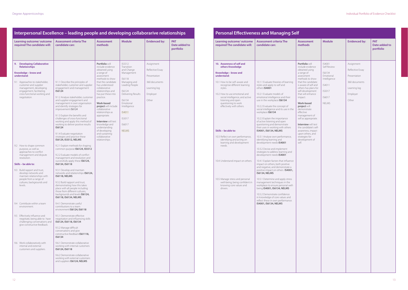| Learning outcome/outcome<br>required The candidate will:                                                                                                                                                                                                                                                                                           | <b>Assessment criteria The</b><br>candidate can:                                                                                                                                                                                                                                                                                                                                                                                                                                                                                                                           | <b>Assessment</b><br>methods                                                                                                                                                                                                                                                                                                                                                                                                                          | <b>Module</b>                                                                                                                                                                                                     | <b>Evidenced by:</b>                                                                                 | <b>PAT</b><br>Date added to<br>portfolio |
|----------------------------------------------------------------------------------------------------------------------------------------------------------------------------------------------------------------------------------------------------------------------------------------------------------------------------------------------------|----------------------------------------------------------------------------------------------------------------------------------------------------------------------------------------------------------------------------------------------------------------------------------------------------------------------------------------------------------------------------------------------------------------------------------------------------------------------------------------------------------------------------------------------------------------------------|-------------------------------------------------------------------------------------------------------------------------------------------------------------------------------------------------------------------------------------------------------------------------------------------------------------------------------------------------------------------------------------------------------------------------------------------------------|-------------------------------------------------------------------------------------------------------------------------------------------------------------------------------------------------------------------|------------------------------------------------------------------------------------------------------|------------------------------------------|
| 9. Developing Collaborative<br><b>Relationships</b><br>Knowledge - know and<br>understand:<br>9.1 Approaches to stakeholder,<br>customer and supplier<br>management, developing<br>engagement, facilitating<br>cross functional working and<br>negotiation.                                                                                        | 9.1.1 Describe the principles of<br>stakeholder, customer and supplier<br>engagement and management<br>IS6124<br>9.1.2 Analyse stakeholder, customer<br>and supplier engagement and<br>management in own organisation<br>and identify strategies for<br>improvement IS6124<br>9.1.3 Explain the benefits and<br>challenges of cross-functional<br>working and apply this method of<br>working to deliver positive results<br>IS6124<br>9.1.4 Evaluate negotiation<br>strategies and practice these<br>IS6124, IS5512, NELMS                                                | Portfolio will<br>include evidence<br>obtained using<br>a range of<br>assessment<br>methods to show<br>that the candidate<br>has understood<br>collaborative<br>relationships and<br>has put these into<br>practice.<br>Work-based<br>project will include<br>collaborative<br>relationships as<br>appropriate.<br><b>Interview will test</b><br>knowledge and<br>understanding<br>of developing<br>and sustaining<br>collaborative<br>relationships. | IS5512<br>Transition<br>and Change<br>Management<br>IS6118<br>Managing and<br>Leading People<br>IS6124<br>Delivering Results<br>IS6134<br>Emotional<br>Intelligence<br>IS4011<br>IS5017<br>IS6017<br><b>NELMS</b> | Assignment<br>Reflective Essay<br>Presentation<br>360 documents<br>Learning log<br>Employer<br>Other |                                          |
| 9.2 How to shape common<br>purpose, as well as<br>approaches to conflict<br>management and dispute<br>resolution.<br>Skills - be able to:<br>9.3 Build rapport and trust,<br>develop networks and<br>maintain relationships with<br>people from a range of<br>cultures, backgrounds and<br>levels.<br>9.4 Contribute within a team<br>environment. | 9.2.1 Explain methods for shaping<br>common purpose IS6124, IS5512<br>9.2.2 Evaluate models of conflict<br>management and resolution and<br>successfully apply these IS6124,<br>IS6134, IS6118<br>9.3.1 Develop and maintain<br>networks and relationships IS6124,<br>IS6118, NELMS<br>9.3.2 Build rapport and trust,<br>demonstrating how this takes<br>place with all people including<br>those from different cultures,<br>backgrounds and levels IS6124,<br>IS6118, IS6134, NELMS<br>9.4.1 Demonstrate useful<br>contributions to a team<br>environment IS6124, IS6118 |                                                                                                                                                                                                                                                                                                                                                                                                                                                       |                                                                                                                                                                                                                   |                                                                                                      |                                          |
| 9.5 Effectively influence and<br>negotiate, being able to have<br>challenging conversations and<br>give constructive feedback.<br>9.6 Work collaboratively with<br>internal and external<br>customers and suppliers.                                                                                                                               | 9.5.1 Demonstrate effective<br>negotiation and influencing skills<br>IS6124, IS6118, IS6134<br>9.5.2 Manage difficult<br>conversations and give<br>constructive feedback IS61118,<br>IS6134<br>9.6.1 Demonstrate collaborative<br>working with internal customers<br>IS6124, IS6118<br>9.6.2 Demonstrate collaborative<br>working with external customers<br>and suppliers IS6124, NELMS                                                                                                                                                                                   |                                                                                                                                                                                                                                                                                                                                                                                                                                                       |                                                                                                                                                                                                                   |                                                                                                      |                                          |

| <b>Personal Effectiveness and Managing Self</b>                                                                                                                                                                                                                                                                                                                                                        |                                                                                                                                                                                                                                                                                                                                                                                                                                                                                                                    |                                                                                                                                                                                                                                                                                                                                                                                                                                                                             |                                                                                                            |                                                                                                      |                                          |  |  |
|--------------------------------------------------------------------------------------------------------------------------------------------------------------------------------------------------------------------------------------------------------------------------------------------------------------------------------------------------------------------------------------------------------|--------------------------------------------------------------------------------------------------------------------------------------------------------------------------------------------------------------------------------------------------------------------------------------------------------------------------------------------------------------------------------------------------------------------------------------------------------------------------------------------------------------------|-----------------------------------------------------------------------------------------------------------------------------------------------------------------------------------------------------------------------------------------------------------------------------------------------------------------------------------------------------------------------------------------------------------------------------------------------------------------------------|------------------------------------------------------------------------------------------------------------|------------------------------------------------------------------------------------------------------|------------------------------------------|--|--|
| Learning outcome/outcome<br>required The candidate will:                                                                                                                                                                                                                                                                                                                                               | <b>Assessment criteria The</b><br>candidate can:                                                                                                                                                                                                                                                                                                                                                                                                                                                                   | <b>Assessment</b><br>methods                                                                                                                                                                                                                                                                                                                                                                                                                                                | <b>Module</b>                                                                                              | <b>Evidenced by:</b>                                                                                 | <b>PAT</b><br>Date added to<br>portfolio |  |  |
| 10. Awareness of self and<br>others Knowledge<br>Knowledge - know and<br>understand:<br>10.1 How to be self-aware and<br>recognise different learning<br>styles.<br>10.2 How to use emotional and<br>social intelligence, and active<br>listening and open<br>questioning to work<br>effectively with others.<br>Skills - be able to:<br>10.3 Reflect on own performance,<br>identifying and acting on | 10.1.1 Evaluate theories of learning<br>styles and apply to self and<br>others IS4001<br>10.2.1 Evaluate models of<br>emotional intelligence and their<br>use in the workplace IS6134<br>10.2.2 Evaluate the concept of<br>social intelligence and its use in the<br>workplace IS6134<br>10.2.3 Explain the importance<br>of active listening and open<br>questioning and demonstrate<br>their uses in working with others<br>IS4001, IS6134, NELMS<br>10.3.1 Analyse own performance,<br>identifying learning and | Portfolio will<br>include evidence<br>obtained using<br>a range of<br>assessment<br>methods to show<br>that the candidate<br>is aware of self and<br>others has plans for<br>self-development<br>that will enhance<br>impact.<br><b>Work-based</b><br>project will<br>demonstrate<br>effective<br>management of<br>self as appropriate.<br><b>Interview will test</b><br>the candidate's self-<br>awareness, impact<br>upon others, and<br>strategies for<br>development of | IS4001<br>Self Review<br>IS6134<br>Emotional<br>Intelligence<br>IS4011<br>IS5017<br>IS6017<br><b>NELMS</b> | Assignment<br>Reflective Essay<br>Presentation<br>360 documents<br>Learning log<br>Employer<br>Other |                                          |  |  |
| learning and development<br>needs.<br>10.4 Understand impact on others.                                                                                                                                                                                                                                                                                                                                | development needs IS4001<br>10.3.2 Devise and implement<br>strategies to address learning and<br>development needs IS4001<br>10.4.1 Explain factors that influence<br>impact on others, both positive<br>and negative, and demonstrate a<br>positive impact on others IS4001,<br>IS6134, NELMS                                                                                                                                                                                                                     | self.                                                                                                                                                                                                                                                                                                                                                                                                                                                                       |                                                                                                            |                                                                                                      |                                          |  |  |
| 10.5 Manage stress and personal<br>well-being, being confident in<br>knowing core values and<br>drivers.                                                                                                                                                                                                                                                                                               | 10.5.1 Determine and apply stress<br>management techniques in the<br>workplace to ensure personal well-<br>being IS4001, IS6134, NELMS<br>10.5.2 Demonstrate confidence<br>in knowledge of core values and<br>reflect these in own performance.<br>IS4001, IS6134, NELMS                                                                                                                                                                                                                                           |                                                                                                                                                                                                                                                                                                                                                                                                                                                                             |                                                                                                            |                                                                                                      |                                          |  |  |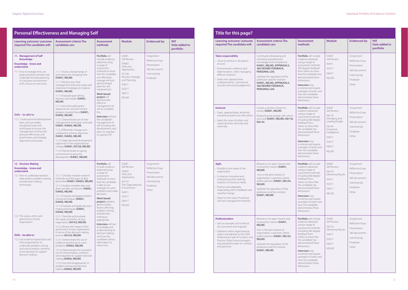| <b>Learning outcome/ outcome</b><br>required The candidate will:                                                                                                                                                                                                                                                                                                                                                                                                                                         | <b>Assessment criteria The</b><br>candidate can:                                                                                                                                                                                                                                                                                                                                                                                                                                                                                                                                                                                                                                                                                                                                                                                                                                                                                            | <b>Assessment</b><br>methods                                                                                                                                                                                                                                                                                                                                                                                                                                                                             | <b>Module</b>                                                                                                                                                   | <b>Evidenced by:</b>                                                                                 | <b>PAT</b><br>Date added to |
|----------------------------------------------------------------------------------------------------------------------------------------------------------------------------------------------------------------------------------------------------------------------------------------------------------------------------------------------------------------------------------------------------------------------------------------------------------------------------------------------------------|---------------------------------------------------------------------------------------------------------------------------------------------------------------------------------------------------------------------------------------------------------------------------------------------------------------------------------------------------------------------------------------------------------------------------------------------------------------------------------------------------------------------------------------------------------------------------------------------------------------------------------------------------------------------------------------------------------------------------------------------------------------------------------------------------------------------------------------------------------------------------------------------------------------------------------------------|----------------------------------------------------------------------------------------------------------------------------------------------------------------------------------------------------------------------------------------------------------------------------------------------------------------------------------------------------------------------------------------------------------------------------------------------------------------------------------------------------------|-----------------------------------------------------------------------------------------------------------------------------------------------------------------|------------------------------------------------------------------------------------------------------|-----------------------------|
|                                                                                                                                                                                                                                                                                                                                                                                                                                                                                                          |                                                                                                                                                                                                                                                                                                                                                                                                                                                                                                                                                                                                                                                                                                                                                                                                                                                                                                                                             |                                                                                                                                                                                                                                                                                                                                                                                                                                                                                                          |                                                                                                                                                                 |                                                                                                      | portfolio                   |
| 11. Management of Self<br><b>Knowledge</b><br>Knowledge – know and<br>understand:<br>11.1 How to manage time, set<br>goals, prioritise activities and<br>undertake forward planning<br>in a business environment<br>with a focus on outcomes.<br>Skills - be able to:<br>11.2 Create personal development<br>plan, and use widely<br>recognised tools and<br>techniques to ensure the<br>management of time and<br>pressure effectively, and<br>prioritisation and strategic<br>alignment of activities. | 11.1.1 Assess a broad range of<br>techniques for managing time<br>IS4001, NELMS<br>11.1.2 Review own time<br>management skills and create and<br>implement strategies to improve<br>IS4001, NELMS<br>11.1.3 Evaluate goal setting<br>theories and models IS4001,<br><b>NELMS</b><br>11.1.4 Set achievable goals/<br>objectives for self and monitor<br>progress towards these IS4001,<br>IS4002, NELMS<br>11.2.1 Demonstrate use of time<br>management techniques and tools<br>IS4001, IS4002, NELMS<br>11.2.2 Effectively manage own<br>workload to achieve objectives<br>IS4001, IS4002, NELMS<br>11.2.3 Align personal development<br>objectives to the organisational<br>strategy IS4001, IS5158, NELMS<br>11.2.4 Demonstrate on-going<br>commitment to personal<br>development IS4001, NELMS                                                                                                                                           | Portfolio will<br>include evidence<br>obtained using<br>a range of<br>assessment<br>methods to show<br>that the candidate<br>can effectively<br>manage self and<br>demonstrated<br>plans for self-<br>improvement.<br>Work-based<br>project will<br>demonstrate<br>effective<br>management of<br>self to complete<br>this.<br><b>Interview will test</b><br>the candidate's<br>management of<br>self including self-<br>development, and<br>plans to maintain<br>on-going CPD.                           | IS4001<br>Self Review<br>IS4002<br>Skills and<br>Approaches<br>IS5158<br><b>Business Strategy</b><br>and Planning<br>IS4011<br>IS5017<br>IS6017<br><b>NELMS</b> | Assignment<br>Reflective Essav<br>Presentation<br>360 documents<br>Learning log<br>Employer          |                             |
| 12. Decision Making<br>Knowledge – know and<br>understand:<br>12.1 How to undertake research,<br>data analysis, problem solving<br>and decision-making<br>techniques.<br>12.2 The values, ethics and<br>governance of your<br>organisation.<br>Skills - be able to:<br>12.3 Use evidence-based tools and<br>ethical approaches to<br>undertake problem solving<br>and critical analysis, synthesis<br>and evaluation to support<br>decision making.                                                      | 12.1.1 Critically evaluate research<br>methods and the types of data<br>generated IS4001, IS4002, NELMS<br>12.1.2 Analyse complex data and<br>draw sensible conclusions IS4001,<br>IS4002, NELMS<br>12.1.3 Evaluate and apply problem<br>solving techniques IS4001,<br>IS4002, NELMS<br>12.1.4 Evaluate and apply decision<br>making techniques IS4001,<br>IS4002, NELMS<br>12.2.1 Describe and evaluate<br>the values and ethics of your<br>organisation IS4153, NELMS<br>12.2.2 Review the impact of the<br>governance of your organisation<br>in terms of the decision making<br>process IS4153, NELMS<br>12.3.1 Demonstrate the use of<br>evidence based tools to solve<br>problems IS4002, NELMS<br>12.3.2 Demonstrate the consistent<br>use of critical analysis, synthesis<br>and evaluation to support decision<br>making IS4002, NELMS<br>12.3.3 Use ethical approaches in<br>problem solving and decision<br>making IS4002, NELMS | Portfolio will<br>include evidence<br>obtained using<br>a range of<br>assessment<br>methods to show<br>that the candidate<br>is able to use<br>strategies to solve<br>problems and make<br>decisions.<br>Work-based<br>project problem<br>demonstrates<br>factors affecting<br>problem solving<br>and decision<br>making as<br>appropriate.<br><b>Interview will test</b><br>knowledge and<br>understanding of<br>decision making<br>and how the<br>candidate utilises<br>information to<br>inform this. | IS4001<br>Self Review<br>IS4002<br>Skills and<br>Approaches<br>IS4153<br>The Organisational<br>Environment<br>IS4011<br>IS5017<br>IS6017<br><b>NELMS</b>        | Assignment<br>Reflective Essay<br>Presentation<br>360 documents<br>Learning log<br>Employer<br>Other |                             |

| <b>Learning outcome/ outcome</b><br>required The candidate will:                                                                                                                                                                                                                                        | <b>Assessment criteria The</b><br>candidate can:                                                                                                                                                                                                                                                       | <b>Assessment</b><br>methods                                                                                                                                                                                                                                                                                                                        | <b>Module</b>                                                                                                                                          | <b>Evidenced by:</b>                                                                                 | <b>PAT</b><br>Date added to<br>portfolio |
|---------------------------------------------------------------------------------------------------------------------------------------------------------------------------------------------------------------------------------------------------------------------------------------------------------|--------------------------------------------------------------------------------------------------------------------------------------------------------------------------------------------------------------------------------------------------------------------------------------------------------|-----------------------------------------------------------------------------------------------------------------------------------------------------------------------------------------------------------------------------------------------------------------------------------------------------------------------------------------------------|--------------------------------------------------------------------------------------------------------------------------------------------------------|------------------------------------------------------------------------------------------------------|------------------------------------------|
| <b>Takes responsibility</b><br>• Drive to achieve in all aspects<br>of work<br>• Demonstrates resilience and<br>determination when managing<br>difficult situations<br>· Seeks new opportunities<br>underpinned by commercial<br>acumen and sound judgement.                                            | Continually developing and<br>maintaining professional<br>knowledge and competence<br>IS4001, NELMS, APPRAISALS,<br>360 DEGREE FEEDBACK,<br>PERSONAL LOG<br>Upholds the reputation of the<br>profession and the institute<br>IS4001, NELMS, APPRAISALS,<br>360 DEGREE FEEDBACK,<br><b>PERSONAL LOG</b> | Portfolio will include<br>evidence obtained<br>using a range of<br>assessment methods<br>360 degree feedback<br>from others to show<br>that the candidate has<br>demonstrated these<br>behaviours.<br><b>Interview</b> may<br>scrutinise and require<br>examples of when and<br>how the candidate<br>demonstrates these<br>behaviours.              | IS4001<br>Self Review<br>IS4011<br>IS5017<br>IS6017<br><b>NELMS</b>                                                                                    | Assignment<br>Reflective Essay<br>Presentation<br>360 documents<br>Learning log<br>Employer<br>Other |                                          |
| <b>Inclusive</b><br>· Open, approachable, authentic,<br>and able to build trust with others<br>• Seeks the views of others and<br>values diversity internally and<br>externally.                                                                                                                        | Creates a positive impact on<br>society IS4001, NELMS<br>Respecting the people with whom<br>you work IS4001, NELMS, IS6118,<br>IS6134                                                                                                                                                                  | Portfolio will include<br>evidence obtained<br>using a range of<br>assessment methods<br>including 360 degree<br>feedback from<br>others to show that<br>the candidate has<br>demonstrated these<br>behaviours.<br><b>Interview</b> may<br>scrutinise and require<br>examples of when and<br>how the candidate<br>demonstrates these<br>behaviours. | IS4001<br>Self Review<br>IS6118<br>Managing and<br>Leading People<br>IS6134<br>Emotional<br>Intelligence<br>IS4011<br>IS5017<br>IS6017<br><b>NELMS</b> | Assignment<br>Reflective Essay<br>Presentation<br>360 documents<br>Learning log<br>Employer<br>Other |                                          |
| Agile<br>• Flexible to the needs of the<br>organisation<br>• Is creative, innovative and<br>enterprising when seeking<br>solutions to business needs<br>• Positive and adaptable,<br>responding well to feedback and<br>need for change<br>• Open to new ways of working<br>and new management theories | Behaves in an open, honest and<br>trustworthy manner IS4001,<br><b>NELMS</b><br>Acts in the best interest of<br>organisation, customers, clients<br>and/or partners IS4001, IS6124,<br><b>NELMS</b><br>Upholds the reputation of the<br>profession and the institute<br>IS4001, NELMS                  | Portfolio will include<br>evidence obtained<br>using a range of<br>assessment methods<br>including 360 degree<br>teedback from<br>others to show that<br>the candidate has<br>demonstrated these<br>behaviours.<br>Interview may<br>scrutinise and require<br>examples of when and<br>how the candidate<br>demonstrates these<br>behaviours.        | IS4001<br>Self Review<br>IS6124<br>Delivering Results<br>IS4011<br>IS5017<br>IS6017<br><b>NELMS</b>                                                    | Assignment<br>Reflective Essay<br>Presentation<br>360 documents<br>Learning log<br>Employer<br>Other |                                          |
| Professionalism<br>• Sets an example, and is ethical,<br>fair, consistent and impartial<br>• Operates within organisational<br>values and adheres to the CMI's<br>Professional Code of Conduct and<br>Practice. (http://www.managers.<br>org.uk/policies/code-of-conduct-<br>and-practice).             | Behaves in an open, honest and<br>trustworthy manner IS4001,<br><b>NELMS</b><br>Acts in the best interest of<br>organisation, customers, clients<br>and/or partners IS4001, IS6124,<br><b>NELMS</b><br>Upholds the reputation of the<br>profession and the institute<br>IS4001, NELMS                  | Portfolio will include<br>evidence obtained<br>using a range of<br>assessment methods<br>including 360 degree<br>feedback from<br>others to show that<br>the candidate has<br>demonstrated these<br>behaviours.<br>Interview may<br>scrutinise and require<br>examples of when and<br>how the candidate<br>demonstrates these<br>behaviours.        | IS4001<br>Self Review<br>IS6124<br>Delivering Results<br>IS4011<br>IS5017<br>IS6017<br><b>NELMS</b>                                                    | Assignment<br>Reflective Essay<br>Presentation<br>360 documents<br>Learning log<br>Employer<br>Other |                                          |